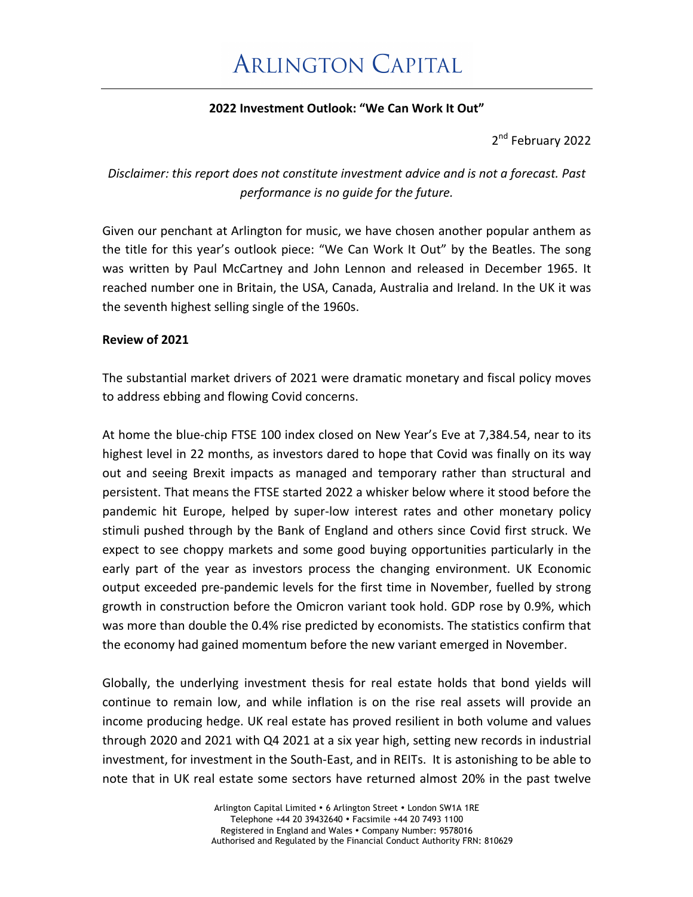### **2022 Investment Outlook: "We Can Work It Out"**

2<sup>nd</sup> February 2022

### Disclaimer: this report does not constitute investment advice and is not a forecast. Past *performance is no guide for the future.*

Given our penchant at Arlington for music, we have chosen another popular anthem as the title for this year's outlook piece: "We Can Work It Out" by the Beatles. The song was written by Paul McCartney and John Lennon and released in December 1965. It reached number one in Britain, the USA, Canada, Australia and Ireland. In the UK it was the seventh highest selling single of the 1960s.

### **Review of 2021**

The substantial market drivers of 2021 were dramatic monetary and fiscal policy moves to address ebbing and flowing Covid concerns.

At home the blue-chip FTSE 100 index closed on New Year's Eve at 7,384.54, near to its highest level in 22 months, as investors dared to hope that Covid was finally on its way out and seeing Brexit impacts as managed and temporary rather than structural and persistent. That means the FTSE started 2022 a whisker below where it stood before the pandemic hit Europe, helped by super-low interest rates and other monetary policy stimuli pushed through by the Bank of England and others since Covid first struck. We expect to see choppy markets and some good buying opportunities particularly in the early part of the year as investors process the changing environment. UK Economic output exceeded pre-pandemic levels for the first time in November, fuelled by strong growth in construction before the Omicron variant took hold. GDP rose by 0.9%, which was more than double the 0.4% rise predicted by economists. The statistics confirm that the economy had gained momentum before the new variant emerged in November.

Globally, the underlying investment thesis for real estate holds that bond yields will continue to remain low, and while inflation is on the rise real assets will provide an income producing hedge. UK real estate has proved resilient in both volume and values through 2020 and 2021 with Q4 2021 at a six year high, setting new records in industrial investment, for investment in the South-East, and in REITs. It is astonishing to be able to note that in UK real estate some sectors have returned almost 20% in the past twelve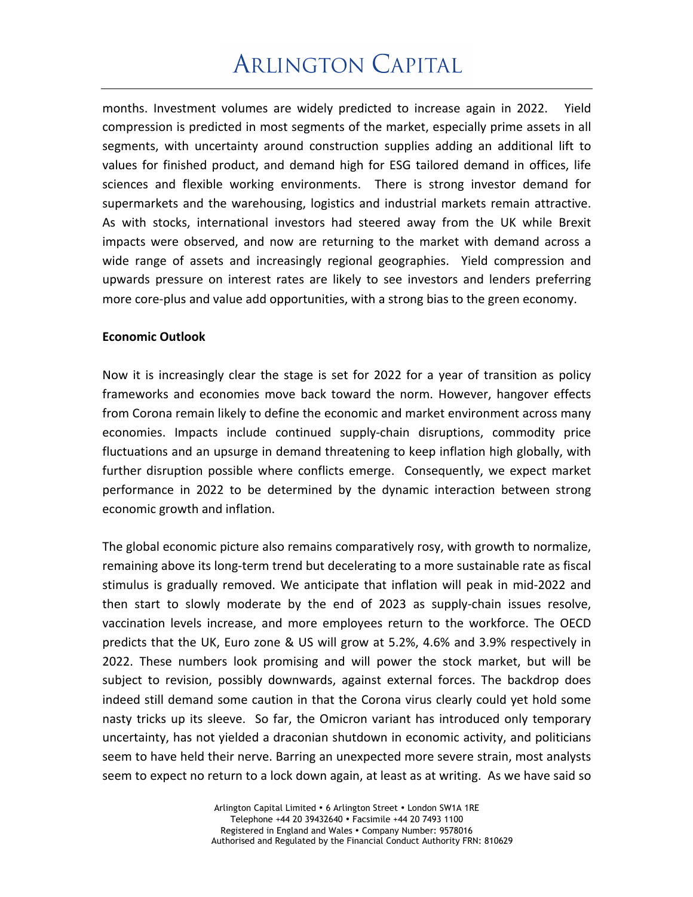# **ARLINGTON CAPITAL**

months. Investment volumes are widely predicted to increase again in 2022. Yield compression is predicted in most segments of the market, especially prime assets in all segments, with uncertainty around construction supplies adding an additional lift to values for finished product, and demand high for ESG tailored demand in offices, life sciences and flexible working environments. There is strong investor demand for supermarkets and the warehousing, logistics and industrial markets remain attractive. As with stocks, international investors had steered away from the UK while Brexit impacts were observed, and now are returning to the market with demand across a wide range of assets and increasingly regional geographies. Yield compression and upwards pressure on interest rates are likely to see investors and lenders preferring more core-plus and value add opportunities, with a strong bias to the green economy.

#### **Economic Outlook**

Now it is increasingly clear the stage is set for 2022 for a year of transition as policy frameworks and economies move back toward the norm. However, hangover effects from Corona remain likely to define the economic and market environment across many economies. Impacts include continued supply-chain disruptions, commodity price fluctuations and an upsurge in demand threatening to keep inflation high globally, with further disruption possible where conflicts emerge. Consequently, we expect market performance in 2022 to be determined by the dynamic interaction between strong economic growth and inflation.

The global economic picture also remains comparatively rosy, with growth to normalize, remaining above its long-term trend but decelerating to a more sustainable rate as fiscal stimulus is gradually removed. We anticipate that inflation will peak in mid-2022 and then start to slowly moderate by the end of 2023 as supply-chain issues resolve, vaccination levels increase, and more employees return to the workforce. The OECD predicts that the UK, Euro zone & US will grow at 5.2%, 4.6% and 3.9% respectively in 2022. These numbers look promising and will power the stock market, but will be subject to revision, possibly downwards, against external forces. The backdrop does indeed still demand some caution in that the Corona virus clearly could yet hold some nasty tricks up its sleeve. So far, the Omicron variant has introduced only temporary uncertainty, has not yielded a draconian shutdown in economic activity, and politicians seem to have held their nerve. Barring an unexpected more severe strain, most analysts seem to expect no return to a lock down again, at least as at writing. As we have said so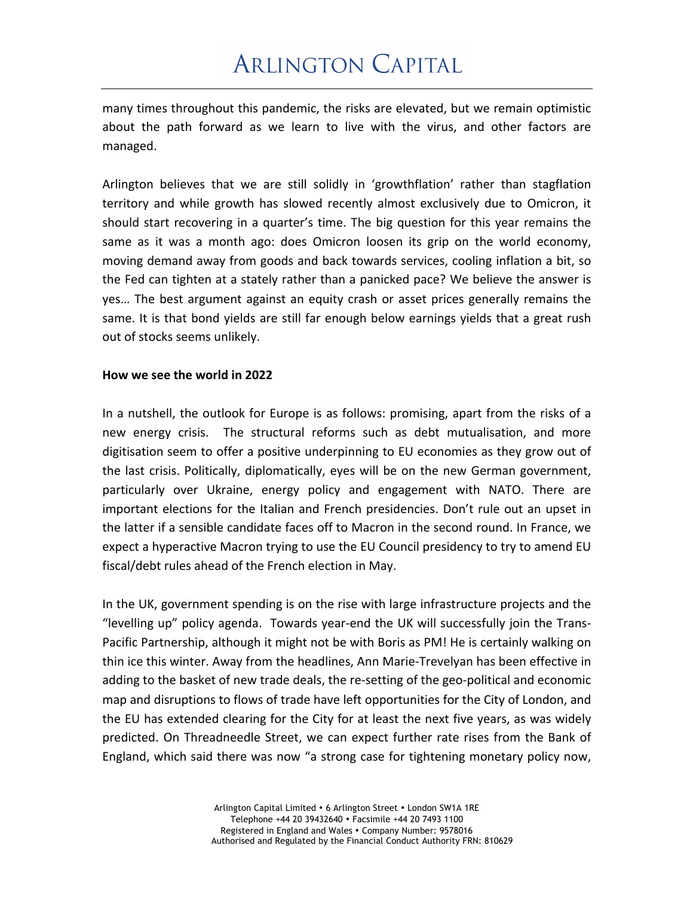many times throughout this pandemic, the risks are elevated, but we remain optimistic about the path forward as we learn to live with the virus, and other factors are managed.

Arlington believes that we are still solidly in 'growthflation' rather than stagflation territory and while growth has slowed recently almost exclusively due to Omicron, it should start recovering in a quarter's time. The big question for this year remains the same as it was a month ago: does Omicron loosen its grip on the world economy, moving demand away from goods and back towards services, cooling inflation a bit, so the Fed can tighten at a stately rather than a panicked pace? We believe the answer is yes... The best argument against an equity crash or asset prices generally remains the same. It is that bond yields are still far enough below earnings yields that a great rush out of stocks seems unlikely.

#### How we see the world in 2022

In a nutshell, the outlook for Europe is as follows: promising, apart from the risks of a new energy crisis. The structural reforms such as debt mutualisation, and more digitisation seem to offer a positive underpinning to EU economies as they grow out of the last crisis. Politically, diplomatically, eyes will be on the new German government, particularly over Ukraine, energy policy and engagement with NATO. There are important elections for the Italian and French presidencies. Don't rule out an upset in the latter if a sensible candidate faces off to Macron in the second round. In France, we expect a hyperactive Macron trying to use the EU Council presidency to try to amend EU fiscal/debt rules ahead of the French election in May.

In the UK, government spending is on the rise with large infrastructure projects and the "levelling up" policy agenda. Towards year-end the UK will successfully join the Trans-Pacific Partnership, although it might not be with Boris as PM! He is certainly walking on thin ice this winter. Away from the headlines, Ann Marie-Trevelyan has been effective in adding to the basket of new trade deals, the re-setting of the geo-political and economic map and disruptions to flows of trade have left opportunities for the City of London, and the EU has extended clearing for the City for at least the next five years, as was widely predicted. On Threadneedle Street, we can expect further rate rises from the Bank of England, which said there was now "a strong case for tightening monetary policy now,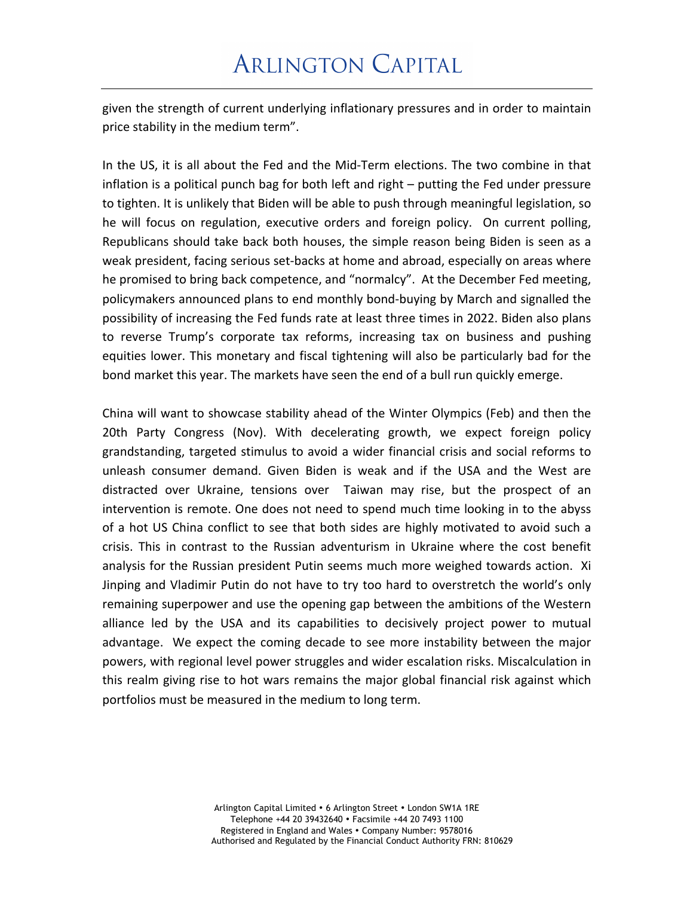## **ARLINGTON CAPITAL**

given the strength of current underlying inflationary pressures and in order to maintain price stability in the medium term".

In the US, it is all about the Fed and the Mid-Term elections. The two combine in that inflation is a political punch bag for both left and right  $-$  putting the Fed under pressure to tighten. It is unlikely that Biden will be able to push through meaningful legislation, so he will focus on regulation, executive orders and foreign policy. On current polling, Republicans should take back both houses, the simple reason being Biden is seen as a weak president, facing serious set-backs at home and abroad, especially on areas where he promised to bring back competence, and "normalcy". At the December Fed meeting, policymakers announced plans to end monthly bond-buying by March and signalled the possibility of increasing the Fed funds rate at least three times in 2022. Biden also plans to reverse Trump's corporate tax reforms, increasing tax on business and pushing equities lower. This monetary and fiscal tightening will also be particularly bad for the bond market this year. The markets have seen the end of a bull run quickly emerge.

China will want to showcase stability ahead of the Winter Olympics (Feb) and then the 20th Party Congress (Nov). With decelerating growth, we expect foreign policy grandstanding, targeted stimulus to avoid a wider financial crisis and social reforms to unleash consumer demand. Given Biden is weak and if the USA and the West are distracted over Ukraine, tensions over Taiwan may rise, but the prospect of an intervention is remote. One does not need to spend much time looking in to the abyss of a hot US China conflict to see that both sides are highly motivated to avoid such a crisis. This in contrast to the Russian adventurism in Ukraine where the cost benefit analysis for the Russian president Putin seems much more weighed towards action. Xi Jinping and Vladimir Putin do not have to try too hard to overstretch the world's only remaining superpower and use the opening gap between the ambitions of the Western alliance led by the USA and its capabilities to decisively project power to mutual advantage. We expect the coming decade to see more instability between the major powers, with regional level power struggles and wider escalation risks. Miscalculation in this realm giving rise to hot wars remains the major global financial risk against which portfolios must be measured in the medium to long term.

> Arlington Capital Limited • 6 Arlington Street • London SW1A 1RE Telephone +44 20 39432640 • Facsimile +44 20 7493 1100 Registered in England and Wales • Company Number: 9578016 Authorised and Regulated by the Financial Conduct Authority FRN: 810629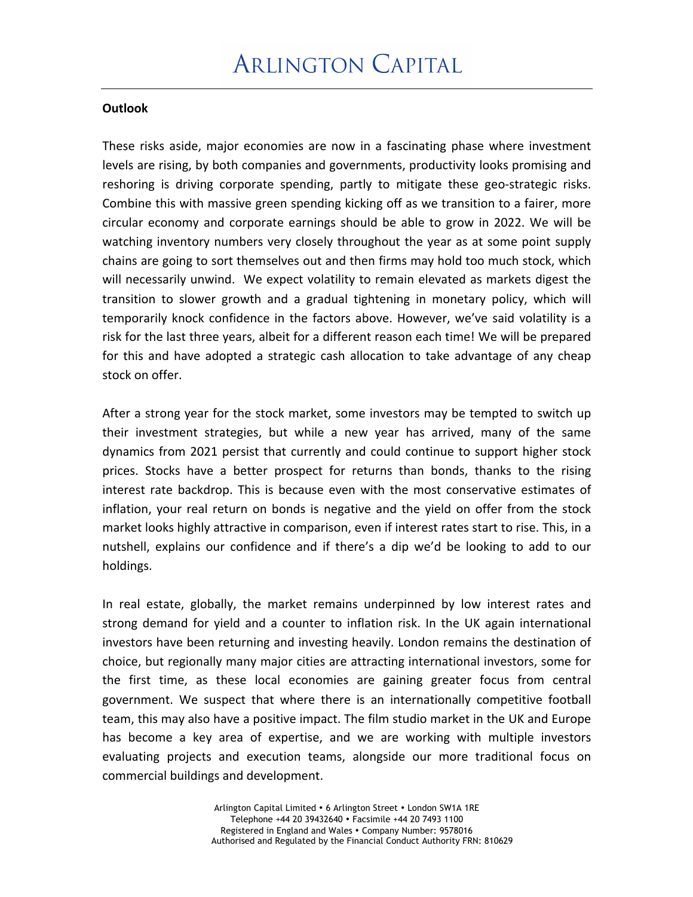#### **Outlook**

These risks aside, major economies are now in a fascinating phase where investment levels are rising, by both companies and governments, productivity looks promising and reshoring is driving corporate spending, partly to mitigate these geo-strategic risks. Combine this with massive green spending kicking off as we transition to a fairer, more circular economy and corporate earnings should be able to grow in 2022. We will be watching inventory numbers very closely throughout the year as at some point supply chains are going to sort themselves out and then firms may hold too much stock, which will necessarily unwind. We expect volatility to remain elevated as markets digest the transition to slower growth and a gradual tightening in monetary policy, which will temporarily knock confidence in the factors above. However, we've said volatility is a risk for the last three years, albeit for a different reason each time! We will be prepared for this and have adopted a strategic cash allocation to take advantage of any cheap stock on offer.

After a strong year for the stock market, some investors may be tempted to switch up their investment strategies, but while a new year has arrived, many of the same dynamics from 2021 persist that currently and could continue to support higher stock prices. Stocks have a better prospect for returns than bonds, thanks to the rising interest rate backdrop. This is because even with the most conservative estimates of inflation, your real return on bonds is negative and the yield on offer from the stock market looks highly attractive in comparison, even if interest rates start to rise. This, in a nutshell, explains our confidence and if there's a dip we'd be looking to add to our holdings. 

In real estate, globally, the market remains underpinned by low interest rates and strong demand for yield and a counter to inflation risk. In the UK again international investors have been returning and investing heavily. London remains the destination of choice, but regionally many major cities are attracting international investors, some for the first time, as these local economies are gaining greater focus from central government. We suspect that where there is an internationally competitive football team, this may also have a positive impact. The film studio market in the UK and Europe has become a key area of expertise, and we are working with multiple investors evaluating projects and execution teams, alongside our more traditional focus on commercial buildings and development.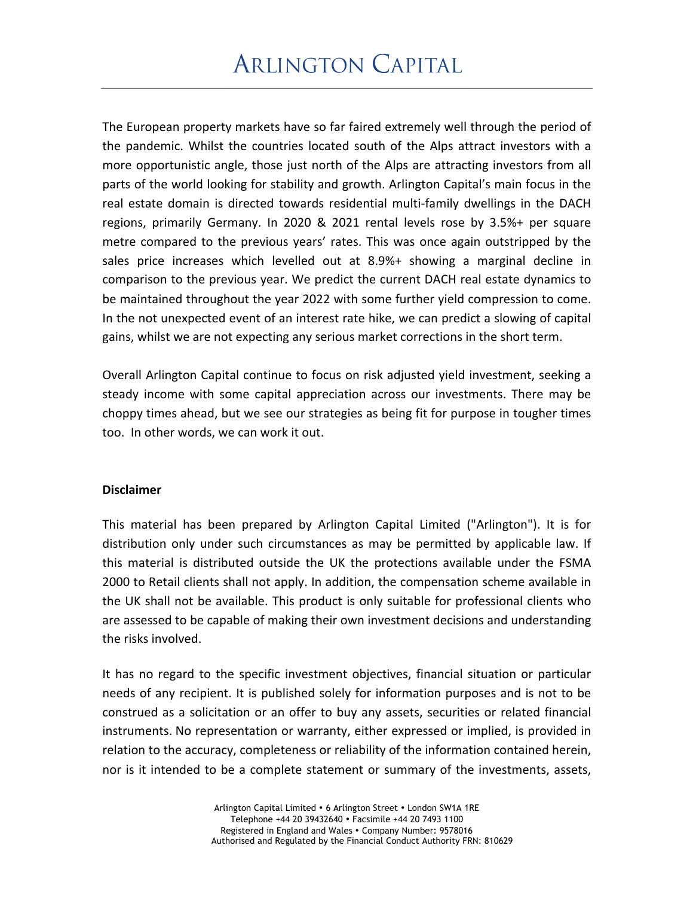The European property markets have so far faired extremely well through the period of the pandemic. Whilst the countries located south of the Alps attract investors with a more opportunistic angle, those just north of the Alps are attracting investors from all parts of the world looking for stability and growth. Arlington Capital's main focus in the real estate domain is directed towards residential multi-family dwellings in the DACH regions, primarily Germany. In 2020 & 2021 rental levels rose by 3.5%+ per square metre compared to the previous years' rates. This was once again outstripped by the sales price increases which levelled out at 8.9%+ showing a marginal decline in comparison to the previous year. We predict the current DACH real estate dynamics to be maintained throughout the year 2022 with some further yield compression to come. In the not unexpected event of an interest rate hike, we can predict a slowing of capital gains, whilst we are not expecting any serious market corrections in the short term.

Overall Arlington Capital continue to focus on risk adjusted yield investment, seeking a steady income with some capital appreciation across our investments. There may be choppy times ahead, but we see our strategies as being fit for purpose in tougher times too. In other words, we can work it out.

#### **Disclaimer**

This material has been prepared by Arlington Capital Limited ("Arlington"). It is for distribution only under such circumstances as may be permitted by applicable law. If this material is distributed outside the UK the protections available under the FSMA 2000 to Retail clients shall not apply. In addition, the compensation scheme available in the UK shall not be available. This product is only suitable for professional clients who are assessed to be capable of making their own investment decisions and understanding the risks involved.

It has no regard to the specific investment objectives, financial situation or particular needs of any recipient. It is published solely for information purposes and is not to be construed as a solicitation or an offer to buy any assets, securities or related financial instruments. No representation or warranty, either expressed or implied, is provided in relation to the accuracy, completeness or reliability of the information contained herein, nor is it intended to be a complete statement or summary of the investments, assets,